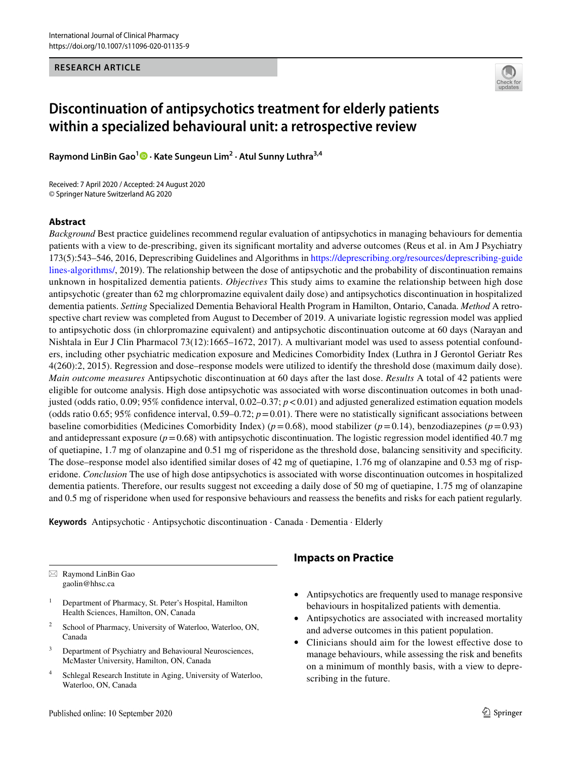#### **RESEARCH ARTICLE**



# **Discontinuation of antipsychotics treatment for elderly patients within a specialized behavioural unit: a retrospective review**

**Raymond LinBin Gao1  [·](http://orcid.org/0000-0001-7756-1584) Kate Sungeun Lim2 · Atul Sunny Luthra3,4**

Received: 7 April 2020 / Accepted: 24 August 2020 © Springer Nature Switzerland AG 2020

#### **Abstract**

*Background* Best practice guidelines recommend regular evaluation of antipsychotics in managing behaviours for dementia patients with a view to de-prescribing, given its signifcant mortality and adverse outcomes (Reus et al. in Am J Psychiatry 173(5):543–546, 2016, Deprescribing Guidelines and Algorithms in [https://deprescribing.org/resources/deprescribing-guide](https://deprescribing.org/resources/deprescribing-guidelines-algorithms/) [lines-algorithms/,](https://deprescribing.org/resources/deprescribing-guidelines-algorithms/) 2019). The relationship between the dose of antipsychotic and the probability of discontinuation remains unknown in hospitalized dementia patients. *Objectives* This study aims to examine the relationship between high dose antipsychotic (greater than 62 mg chlorpromazine equivalent daily dose) and antipsychotics discontinuation in hospitalized dementia patients. *Setting* Specialized Dementia Behavioral Health Program in Hamilton, Ontario, Canada. *Method* A retrospective chart review was completed from August to December of 2019. A univariate logistic regression model was applied to antipsychotic doss (in chlorpromazine equivalent) and antipsychotic discontinuation outcome at 60 days (Narayan and Nishtala in Eur J Clin Pharmacol 73(12):1665–1672, 2017). A multivariant model was used to assess potential confounders, including other psychiatric medication exposure and Medicines Comorbidity Index (Luthra in J Gerontol Geriatr Res 4(260):2, 2015). Regression and dose–response models were utilized to identify the threshold dose (maximum daily dose). *Main outcome measures* Antipsychotic discontinuation at 60 days after the last dose. *Results* A total of 42 patients were eligible for outcome analysis. High dose antipsychotic was associated with worse discontinuation outcomes in both unadjusted (odds ratio,  $0.09$ ;  $95\%$  confidence interval,  $0.02-0.37$ ;  $p < 0.01$ ) and adjusted generalized estimation equation models (odds ratio 0.65; 95% confidence interval, 0.59–0.72;  $p=0.01$ ). There were no statistically significant associations between baseline comorbidities (Medicines Comorbidity Index) ( $p=0.68$ ), mood stabilizer ( $p=0.14$ ), benzodiazepines ( $p=0.93$ ) and antidepressant exposure  $(p=0.68)$  with antipsychotic discontinuation. The logistic regression model identified 40.7 mg of quetiapine, 1.7 mg of olanzapine and 0.51 mg of risperidone as the threshold dose, balancing sensitivity and specifcity. The dose–response model also identifed similar doses of 42 mg of quetiapine, 1.76 mg of olanzapine and 0.53 mg of risperidone. *Conclusion* The use of high dose antipsychotics is associated with worse discontinuation outcomes in hospitalized dementia patients. Therefore, our results suggest not exceeding a daily dose of 50 mg of quetiapine, 1.75 mg of olanzapine and 0.5 mg of risperidone when used for responsive behaviours and reassess the benefts and risks for each patient regularly.

**Keywords** Antipsychotic · Antipsychotic discontinuation · Canada · Dementia · Elderly

 $\boxtimes$  Raymond LinBin Gao gaolin@hhsc.ca

- <sup>1</sup> Department of Pharmacy, St. Peter's Hospital, Hamilton Health Sciences, Hamilton, ON, Canada
- <sup>2</sup> School of Pharmacy, University of Waterloo, Waterloo, ON, Canada
- <sup>3</sup> Department of Psychiatry and Behavioural Neurosciences, McMaster University, Hamilton, ON, Canada
- <sup>4</sup> Schlegal Research Institute in Aging, University of Waterloo, Waterloo, ON, Canada

# **Impacts on Practice**

- Antipsychotics are frequently used to manage responsive behaviours in hospitalized patients with dementia.
- Antipsychotics are associated with increased mortality and adverse outcomes in this patient population.
- Clinicians should aim for the lowest efective dose to manage behaviours, while assessing the risk and benefts on a minimum of monthly basis, with a view to deprescribing in the future.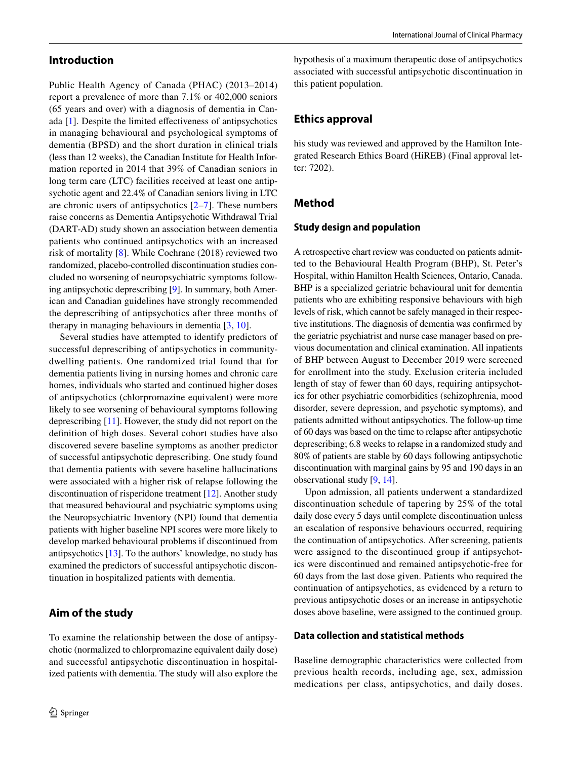## **Introduction**

Public Health Agency of Canada (PHAC) (2013–2014) report a prevalence of more than 7.1% or 402,000 seniors (65 years and over) with a diagnosis of dementia in Canada [\[1](#page-6-0)]. Despite the limited efectiveness of antipsychotics in managing behavioural and psychological symptoms of dementia (BPSD) and the short duration in clinical trials (less than 12 weeks), the Canadian Institute for Health Information reported in 2014 that 39% of Canadian seniors in long term care (LTC) facilities received at least one antipsychotic agent and 22.4% of Canadian seniors living in LTC are chronic users of antipsychotics  $[2-7]$  $[2-7]$  $[2-7]$ . These numbers raise concerns as Dementia Antipsychotic Withdrawal Trial (DART-AD) study shown an association between dementia patients who continued antipsychotics with an increased risk of mortality [[8\]](#page-6-3). While Cochrane (2018) reviewed two randomized, placebo-controlled discontinuation studies concluded no worsening of neuropsychiatric symptoms following antipsychotic deprescribing [\[9](#page-6-4)]. In summary, both American and Canadian guidelines have strongly recommended the deprescribing of antipsychotics after three months of therapy in managing behaviours in dementia [[3](#page-6-5), [10](#page-6-6)].

Several studies have attempted to identify predictors of successful deprescribing of antipsychotics in communitydwelling patients. One randomized trial found that for dementia patients living in nursing homes and chronic care homes, individuals who started and continued higher doses of antipsychotics (chlorpromazine equivalent) were more likely to see worsening of behavioural symptoms following deprescribing [\[11](#page-6-7)]. However, the study did not report on the defnition of high doses. Several cohort studies have also discovered severe baseline symptoms as another predictor of successful antipsychotic deprescribing. One study found that dementia patients with severe baseline hallucinations were associated with a higher risk of relapse following the discontinuation of risperidone treatment [\[12\]](#page-6-8). Another study that measured behavioural and psychiatric symptoms using the Neuropsychiatric Inventory (NPI) found that dementia patients with higher baseline NPI scores were more likely to develop marked behavioural problems if discontinued from antipsychotics [[13\]](#page-6-9). To the authors' knowledge, no study has examined the predictors of successful antipsychotic discontinuation in hospitalized patients with dementia.

# **Aim of the study**

To examine the relationship between the dose of antipsychotic (normalized to chlorpromazine equivalent daily dose) and successful antipsychotic discontinuation in hospitalized patients with dementia. The study will also explore the

hypothesis of a maximum therapeutic dose of antipsychotics associated with successful antipsychotic discontinuation in this patient population.

## **Ethics approval**

his study was reviewed and approved by the Hamilton Integrated Research Ethics Board (HiREB) (Final approval letter: 7202).

## **Method**

#### **Study design and population**

A retrospective chart review was conducted on patients admitted to the Behavioural Health Program (BHP), St. Peter's Hospital, within Hamilton Health Sciences, Ontario, Canada. BHP is a specialized geriatric behavioural unit for dementia patients who are exhibiting responsive behaviours with high levels of risk, which cannot be safely managed in their respective institutions. The diagnosis of dementia was confrmed by the geriatric psychiatrist and nurse case manager based on previous documentation and clinical examination. All inpatients of BHP between August to December 2019 were screened for enrollment into the study. Exclusion criteria included length of stay of fewer than 60 days, requiring antipsychotics for other psychiatric comorbidities (schizophrenia, mood disorder, severe depression, and psychotic symptoms), and patients admitted without antipsychotics. The follow-up time of 60 days was based on the time to relapse after antipsychotic deprescribing; 6.8 weeks to relapse in a randomized study and 80% of patients are stable by 60 days following antipsychotic discontinuation with marginal gains by 95 and 190 days in an observational study [[9,](#page-6-4) [14](#page-6-10)].

Upon admission, all patients underwent a standardized discontinuation schedule of tapering by 25% of the total daily dose every 5 days until complete discontinuation unless an escalation of responsive behaviours occurred, requiring the continuation of antipsychotics. After screening, patients were assigned to the discontinued group if antipsychotics were discontinued and remained antipsychotic-free for 60 days from the last dose given. Patients who required the continuation of antipsychotics, as evidenced by a return to previous antipsychotic doses or an increase in antipsychotic doses above baseline, were assigned to the continued group.

#### **Data collection and statistical methods**

Baseline demographic characteristics were collected from previous health records, including age, sex, admission medications per class, antipsychotics, and daily doses.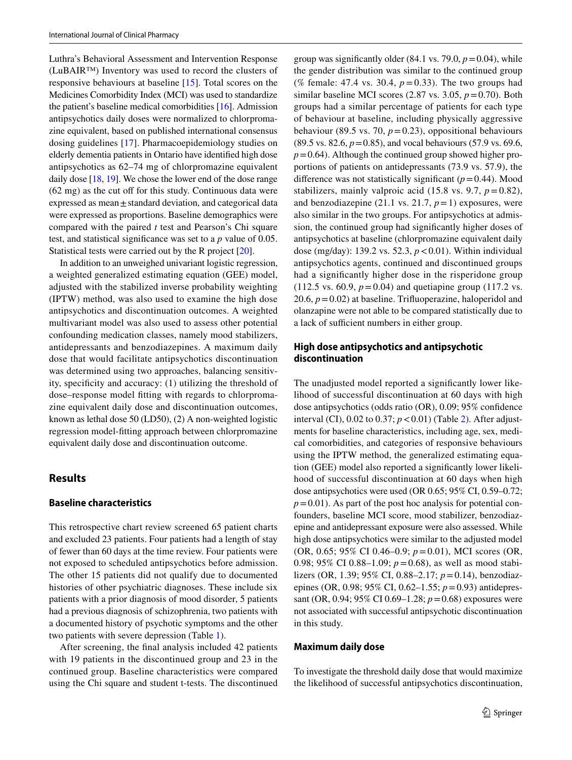Luthra's Behavioral Assessment and Intervention Response (LuBAIR™) Inventory was used to record the clusters of responsive behaviours at baseline [\[15](#page-6-11)]. Total scores on the Medicines Comorbidity Index (MCI) was used to standardize the patient's baseline medical comorbidities [[16](#page-6-12)]. Admission antipsychotics daily doses were normalized to chlorpromazine equivalent, based on published international consensus dosing guidelines [\[17](#page-6-13)]. Pharmacoepidemiology studies on elderly dementia patients in Ontario have identifed high dose antipsychotics as 62–74 mg of chlorpromazine equivalent daily dose [\[18,](#page-6-14) [19](#page-6-15)]. We chose the lower end of the dose range  $(62 \text{ mg})$  as the cut off for this study. Continuous data were expressed as mean±standard deviation, and categorical data were expressed as proportions. Baseline demographics were compared with the paired *t* test and Pearson's Chi square test, and statistical signifcance was set to a *p* value of 0.05. Statistical tests were carried out by the R project [\[20](#page-6-16)].

In addition to an unweighed univariant logistic regression, a weighted generalized estimating equation (GEE) model, adjusted with the stabilized inverse probability weighting (IPTW) method, was also used to examine the high dose antipsychotics and discontinuation outcomes. A weighted multivariant model was also used to assess other potential confounding medication classes, namely mood stabilizers, antidepressants and benzodiazepines. A maximum daily dose that would facilitate antipsychotics discontinuation was determined using two approaches, balancing sensitivity, specifcity and accuracy: (1) utilizing the threshold of dose–response model ftting with regards to chlorpromazine equivalent daily dose and discontinuation outcomes, known as lethal dose 50 (LD50), (2) A non-weighted logistic regression model-ftting approach between chlorpromazine equivalent daily dose and discontinuation outcome.

#### **Results**

#### **Baseline characteristics**

This retrospective chart review screened 65 patient charts and excluded 23 patients. Four patients had a length of stay of fewer than 60 days at the time review. Four patients were not exposed to scheduled antipsychotics before admission. The other 15 patients did not qualify due to documented histories of other psychiatric diagnoses. These include six patients with a prior diagnosis of mood disorder, 5 patients had a previous diagnosis of schizophrenia, two patients with a documented history of psychotic symptoms and the other two patients with severe depression (Table [1\)](#page-3-0).

After screening, the fnal analysis included 42 patients with 19 patients in the discontinued group and 23 in the continued group. Baseline characteristics were compared using the Chi square and student t-tests. The discontinued group was significantly older  $(84.1 \text{ vs. } 79.0, p = 0.04)$ , while the gender distribution was similar to the continued group (% female: 47.4 vs. 30.4, *p*=0.33). The two groups had similar baseline MCI scores  $(2.87 \text{ vs. } 3.05, p=0.70)$ . Both groups had a similar percentage of patients for each type of behaviour at baseline, including physically aggressive behaviour (89.5 vs. 70,  $p=0.23$ ), oppositional behaviours  $(89.5 \text{ vs. } 82.6, p=0.85)$ , and vocal behaviours (57.9 vs. 69.6,  $p=0.64$ ). Although the continued group showed higher proportions of patients on antidepressants (73.9 vs. 57.9), the difference was not statistically significant  $(p=0.44)$ . Mood stabilizers, mainly valproic acid  $(15.8 \text{ vs. } 9.7, p=0.82)$ , and benzodiazepine (21.1 vs. 21.7,  $p=1$ ) exposures, were also similar in the two groups. For antipsychotics at admission, the continued group had signifcantly higher doses of antipsychotics at baseline (chlorpromazine equivalent daily dose (mg/day): 139.2 vs. 52.3, *p*<0.01). Within individual antipsychotics agents, continued and discontinued groups had a signifcantly higher dose in the risperidone group (112.5 vs. 60.9,  $p = 0.04$ ) and quetiapine group (117.2 vs. 20.6,  $p = 0.02$ ) at baseline. Trifluoperazine, haloperidol and olanzapine were not able to be compared statistically due to a lack of sufficient numbers in either group.

## **High dose antipsychotics and antipsychotic discontinuation**

The unadjusted model reported a significantly lower likelihood of successful discontinuation at 60 days with high dose antipsychotics (odds ratio (OR), 0.09; 95% confdence interval (CI), 0.02 to 0.37; *p*<0.01) (Table [2\)](#page-3-1). After adjustments for baseline characteristics, including age, sex, medical comorbidities, and categories of responsive behaviours using the IPTW method, the generalized estimating equation (GEE) model also reported a signifcantly lower likelihood of successful discontinuation at 60 days when high dose antipsychotics were used (OR 0.65; 95% CI, 0.59–0.72;  $p=0.01$ ). As part of the post hoc analysis for potential confounders, baseline MCI score, mood stabilizer, benzodiazepine and antidepressant exposure were also assessed. While high dose antipsychotics were similar to the adjusted model (OR, 0.65; 95% CI 0.46–0.9; *p*=0.01), MCI scores (OR, 0.98; 95% CI 0.88–1.09; *p*=0.68), as well as mood stabilizers (OR, 1.39; 95% CI, 0.88–2.17; *p*=0.14), benzodiazepines (OR, 0.98; 95% CI, 0.62–1.55; *p*=0.93) antidepressant (OR, 0.94; 95% CI 0.69–1.28; *p*=0.68) exposures were not associated with successful antipsychotic discontinuation in this study.

#### **Maximum daily dose**

To investigate the threshold daily dose that would maximize the likelihood of successful antipsychotics discontinuation,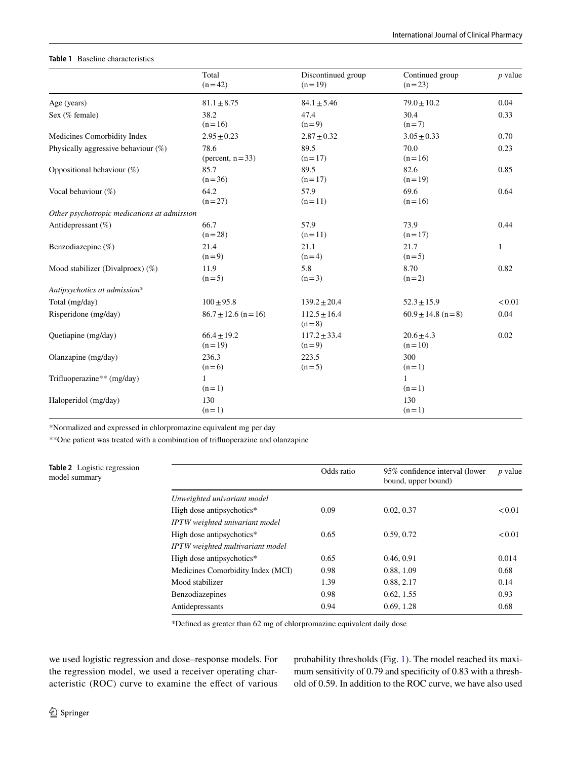#### <span id="page-3-0"></span>**Table 1** Baseline characteristics

|                                             | Total<br>$(n=42)$            | Discontinued group<br>$(n=19)$ | Continued group<br>$(n=23)$ | <i>p</i> value |
|---------------------------------------------|------------------------------|--------------------------------|-----------------------------|----------------|
| Age (years)                                 | $81.1 \pm 8.75$              | $84.1 \pm 5.46$                | $79.0 \pm 10.2$             | 0.04           |
| Sex (% female)                              | 38.2<br>$(n=16)$             | 47.4<br>$(n=9)$                | 30.4<br>$(n=7)$             | 0.33           |
| Medicines Comorbidity Index                 | $2.95 \pm 0.23$              | $2.87 \pm 0.32$                | $3.05 \pm 0.33$             | 0.70           |
| Physically aggressive behaviour $(\%)$      | 78.6<br>(percent, $n = 33$ ) | 89.5<br>$(n=17)$               | 70.0<br>$(n=16)$            | 0.23           |
| Oppositional behaviour (%)                  | 85.7<br>$(n=36)$             | 89.5<br>$(n=17)$               | 82.6<br>$(n=19)$            | 0.85           |
| Vocal behaviour (%)                         | 64.2<br>$(n=27)$             | 57.9<br>$(n=11)$               | 69.6<br>$(n=16)$            | 0.64           |
| Other psychotropic medications at admission |                              |                                |                             |                |
| Antidepressant (%)                          | 66.7<br>$(n=28)$             | 57.9<br>$(n=11)$               | 73.9<br>$(n=17)$            | 0.44           |
| Benzodiazepine (%)                          | 21.4<br>$(n=9)$              | 21.1<br>$(n=4)$                | 21.7<br>$(n=5)$             | 1              |
| Mood stabilizer (Divalproex) $(\%)$         | 11.9<br>$(n=5)$              | 5.8<br>$(n=3)$                 | 8.70<br>$(n=2)$             | 0.82           |
| Antipsychotics at admission*                |                              |                                |                             |                |
| Total (mg/day)                              | $100 \pm 95.8$               | $139.2 \pm 20.4$               | $52.3 \pm 15.9$             | < 0.01         |
| Risperidone (mg/day)                        | $86.7 \pm 12.6$ (n = 16)     | $112.5 \pm 16.4$<br>$(n=8)$    | $60.9 \pm 14.8$ (n = 8)     | 0.04           |
| Quetiapine (mg/day)                         | $66.4 \pm 19.2$<br>$(n=19)$  | $117.2 \pm 33.4$<br>$(n=9)$    | $20.6 \pm 4.3$<br>$(n=10)$  | 0.02           |
| Olanzapine (mg/day)                         | 236.3<br>$(n=6)$             | 223.5<br>$(n=5)$               | 300<br>$(n=1)$              |                |
| Trifluoperazine** (mg/day)                  | 1<br>$(n=1)$                 |                                | $\mathbf{1}$<br>$(n=1)$     |                |
| Haloperidol (mg/day)                        | 130<br>$(n=1)$               |                                | 130<br>$(n=1)$              |                |

\*Normalized and expressed in chlorpromazine equivalent mg per day

\*\*One patient was treated with a combination of trifuoperazine and olanzapine

<span id="page-3-1"></span>

| <b>Table 2</b> Logistic regression<br>model summary |                                   | Odds ratio | 95% confidence interval (lower<br>bound, upper bound) | $p$ value |
|-----------------------------------------------------|-----------------------------------|------------|-------------------------------------------------------|-----------|
|                                                     | Unweighted univariant model       |            |                                                       |           |
|                                                     | High dose antipsychotics*         | 0.09       | 0.02, 0.37                                            | < 0.01    |
|                                                     | IPTW weighted univariant model    |            |                                                       |           |
|                                                     | High dose antipsychotics*         | 0.65       | 0.59, 0.72                                            | < 0.01    |
|                                                     | IPTW weighted multivariant model  |            |                                                       |           |
|                                                     | High dose antipsychotics*         | 0.65       | 0.46, 0.91                                            | 0.014     |
|                                                     | Medicines Comorbidity Index (MCI) | 0.98       | 0.88, 1.09                                            | 0.68      |
|                                                     | Mood stabilizer                   | 1.39       | 0.88, 2.17                                            | 0.14      |
|                                                     | Benzodiazepines                   | 0.98       | 0.62, 1.55                                            | 0.93      |
|                                                     | Antidepressants                   | 0.94       | 0.69, 1.28                                            | 0.68      |

\*Defned as greater than 62 mg of chlorpromazine equivalent daily dose

we used logistic regression and dose–response models. For the regression model, we used a receiver operating characteristic (ROC) curve to examine the efect of various probability thresholds (Fig. [1](#page-4-0)). The model reached its maximum sensitivity of 0.79 and specifcity of 0.83 with a threshold of 0.59. In addition to the ROC curve, we have also used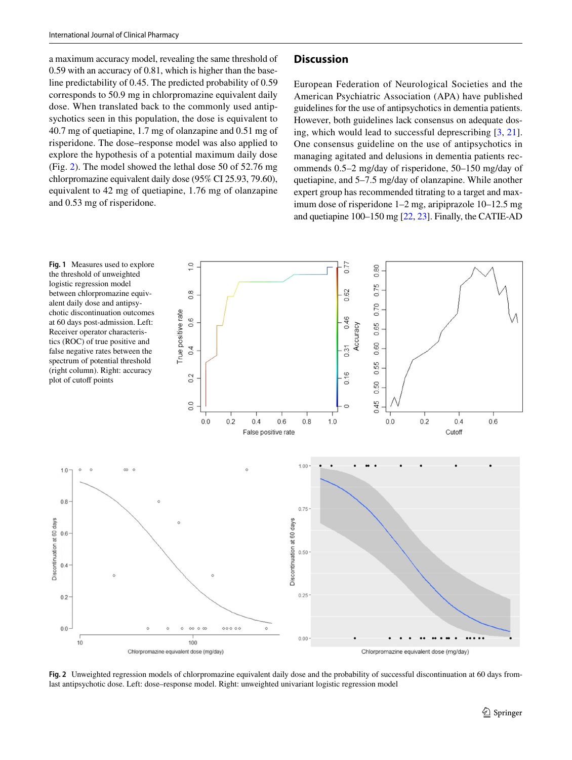a maximum accuracy model, revealing the same threshold of 0.59 with an accuracy of 0.81, which is higher than the baseline predictability of 0.45. The predicted probability of 0.59 corresponds to 50.9 mg in chlorpromazine equivalent daily dose. When translated back to the commonly used antipsychotics seen in this population, the dose is equivalent to 40.7 mg of quetiapine, 1.7 mg of olanzapine and 0.51 mg of risperidone. The dose–response model was also applied to explore the hypothesis of a potential maximum daily dose (Fig. [2](#page-4-1)). The model showed the lethal dose 50 of 52.76 mg chlorpromazine equivalent daily dose (95% CI 25.93, 79.60), equivalent to 42 mg of quetiapine, 1.76 mg of olanzapine and 0.53 mg of risperidone.

## **Discussion**

European Federation of Neurological Societies and the American Psychiatric Association (APA) have published guidelines for the use of antipsychotics in dementia patients. However, both guidelines lack consensus on adequate dosing, which would lead to successful deprescribing [[3,](#page-6-5) [21](#page-6-17)]. One consensus guideline on the use of antipsychotics in managing agitated and delusions in dementia patients recommends 0.5–2 mg/day of risperidone, 50–150 mg/day of quetiapine, and 5–7.5 mg/day of olanzapine. While another expert group has recommended titrating to a target and maximum dose of risperidone 1–2 mg, aripiprazole 10–12.5 mg and quetiapine 100–150 mg [\[22](#page-6-18), [23\]](#page-6-19). Finally, the CATIE-AD

<span id="page-4-0"></span>

<span id="page-4-1"></span>**Fig. 2** Unweighted regression models of chlorpromazine equivalent daily dose and the probability of successful discontinuation at 60 days fromlast antipsychotic dose. Left: dose–response model. Right: unweighted univariant logistic regression model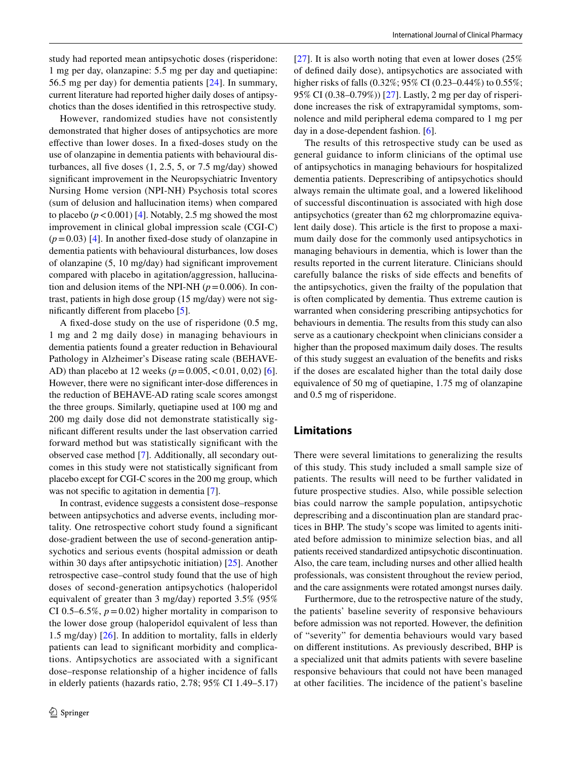study had reported mean antipsychotic doses (risperidone: 1 mg per day, olanzapine: 5.5 mg per day and quetiapine: 56.5 mg per day) for dementia patients [[24](#page-6-20)]. In summary, current literature had reported higher daily doses of antipsychotics than the doses identifed in this retrospective study.

However, randomized studies have not consistently demonstrated that higher doses of antipsychotics are more efective than lower doses. In a fxed-doses study on the use of olanzapine in dementia patients with behavioural disturbances, all five doses  $(1, 2.5, 5, \text{ or } 7.5 \text{ mg/day})$  showed signifcant improvement in the Neuropsychiatric Inventory Nursing Home version (NPI-NH) Psychosis total scores (sum of delusion and hallucination items) when compared to placebo  $(p < 0.001)$  [[4\]](#page-6-21). Notably, 2.5 mg showed the most improvement in clinical global impression scale (CGI-C)  $(p=0.03)$  [\[4](#page-6-21)]. In another fixed-dose study of olanzapine in dementia patients with behavioural disturbances, low doses of olanzapine (5, 10 mg/day) had signifcant improvement compared with placebo in agitation/aggression, hallucination and delusion items of the NPI-NH ( $p=0.006$ ). In contrast, patients in high dose group (15 mg/day) were not signifcantly diferent from placebo [\[5](#page-6-22)].

A fxed-dose study on the use of risperidone (0.5 mg, 1 mg and 2 mg daily dose) in managing behaviours in dementia patients found a greater reduction in Behavioural Pathology in Alzheimer's Disease rating scale (BEHAVE-AD) than placebo at 12 weeks (*p*=0.005,<0.01, 0,02) [\[6](#page-6-23)]. However, there were no signifcant inter-dose diferences in the reduction of BEHAVE-AD rating scale scores amongst the three groups. Similarly, quetiapine used at 100 mg and 200 mg daily dose did not demonstrate statistically signifcant diferent results under the last observation carried forward method but was statistically signifcant with the observed case method [[7\]](#page-6-2). Additionally, all secondary outcomes in this study were not statistically signifcant from placebo except for CGI-C scores in the 200 mg group, which was not specific to agitation in dementia [[7\]](#page-6-2).

In contrast, evidence suggests a consistent dose–response between antipsychotics and adverse events, including mortality. One retrospective cohort study found a signifcant dose-gradient between the use of second-generation antipsychotics and serious events (hospital admission or death within 30 days after antipsychotic initiation) [\[25](#page-7-0)]. Another retrospective case–control study found that the use of high doses of second-generation antipsychotics (haloperidol equivalent of greater than 3 mg/day) reported 3.5% (95% CI 0.5–6.5%,  $p = 0.02$ ) higher mortality in comparison to the lower dose group (haloperidol equivalent of less than 1.5 mg/day)  $[26]$ . In addition to mortality, falls in elderly patients can lead to signifcant morbidity and complications. Antipsychotics are associated with a significant dose–response relationship of a higher incidence of falls in elderly patients (hazards ratio, 2.78; 95% CI 1.49–5.17) [[27\]](#page-7-2). It is also worth noting that even at lower doses (25%) of defned daily dose), antipsychotics are associated with higher risks of falls (0.32%; 95% CI (0.23–0.44%) to 0.55%; 95% CI (0.38–0.79%)) [\[27](#page-7-2)]. Lastly, 2 mg per day of risperidone increases the risk of extrapyramidal symptoms, somnolence and mild peripheral edema compared to 1 mg per day in a dose-dependent fashion. [[6\]](#page-6-23).

The results of this retrospective study can be used as general guidance to inform clinicians of the optimal use of antipsychotics in managing behaviours for hospitalized dementia patients. Deprescribing of antipsychotics should always remain the ultimate goal, and a lowered likelihood of successful discontinuation is associated with high dose antipsychotics (greater than 62 mg chlorpromazine equivalent daily dose). This article is the frst to propose a maximum daily dose for the commonly used antipsychotics in managing behaviours in dementia, which is lower than the results reported in the current literature. Clinicians should carefully balance the risks of side efects and benefts of the antipsychotics, given the frailty of the population that is often complicated by dementia. Thus extreme caution is warranted when considering prescribing antipsychotics for behaviours in dementia. The results from this study can also serve as a cautionary checkpoint when clinicians consider a higher than the proposed maximum daily doses. The results of this study suggest an evaluation of the benefts and risks if the doses are escalated higher than the total daily dose equivalence of 50 mg of quetiapine, 1.75 mg of olanzapine and 0.5 mg of risperidone.

## **Limitations**

There were several limitations to generalizing the results of this study. This study included a small sample size of patients. The results will need to be further validated in future prospective studies. Also, while possible selection bias could narrow the sample population, antipsychotic deprescribing and a discontinuation plan are standard practices in BHP. The study's scope was limited to agents initiated before admission to minimize selection bias, and all patients received standardized antipsychotic discontinuation. Also, the care team, including nurses and other allied health professionals, was consistent throughout the review period, and the care assignments were rotated amongst nurses daily.

Furthermore, due to the retrospective nature of the study, the patients' baseline severity of responsive behaviours before admission was not reported. However, the defnition of "severity" for dementia behaviours would vary based on diferent institutions. As previously described, BHP is a specialized unit that admits patients with severe baseline responsive behaviours that could not have been managed at other facilities. The incidence of the patient's baseline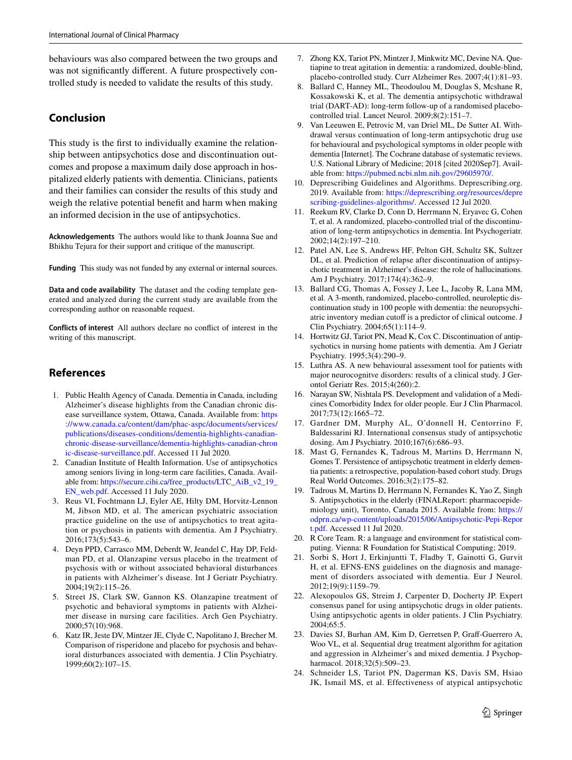behaviours was also compared between the two groups and was not signifcantly diferent. A future prospectively controlled study is needed to validate the results of this study.

# **Conclusion**

This study is the frst to individually examine the relationship between antipsychotics dose and discontinuation outcomes and propose a maximum daily dose approach in hospitalized elderly patients with dementia. Clinicians, patients and their families can consider the results of this study and weigh the relative potential beneft and harm when making an informed decision in the use of antipsychotics.

**Acknowledgements** The authors would like to thank Joanna Sue and Bhikhu Tejura for their support and critique of the manuscript.

Funding This study was not funded by any external or internal sources.

**Data and code availability** The dataset and the coding template generated and analyzed during the current study are available from the corresponding author on reasonable request.

**Conflicts of interest** All authors declare no confict of interest in the writing of this manuscript.

# **References**

- <span id="page-6-0"></span>1. Public Health Agency of Canada. Dementia in Canada, including Alzheimer's disease highlights from the Canadian chronic disease surveillance system, Ottawa, Canada. Available from: [https](https://www.canada.ca/content/dam/phac-aspc/documents/services/publications/diseases-conditions/dementia-highlights-canadian-chronic-disease-surveillance/dementia-highlights-canadian-chronic-disease-surveillance.pdf) [://www.canada.ca/content/dam/phac-aspc/documents/services/](https://www.canada.ca/content/dam/phac-aspc/documents/services/publications/diseases-conditions/dementia-highlights-canadian-chronic-disease-surveillance/dementia-highlights-canadian-chronic-disease-surveillance.pdf) [publications/diseases-conditions/dementia-highlights-canadian](https://www.canada.ca/content/dam/phac-aspc/documents/services/publications/diseases-conditions/dementia-highlights-canadian-chronic-disease-surveillance/dementia-highlights-canadian-chronic-disease-surveillance.pdf)[chronic-disease-surveillance/dementia-highlights-canadian-chron](https://www.canada.ca/content/dam/phac-aspc/documents/services/publications/diseases-conditions/dementia-highlights-canadian-chronic-disease-surveillance/dementia-highlights-canadian-chronic-disease-surveillance.pdf) [ic-disease-surveillance.pdf](https://www.canada.ca/content/dam/phac-aspc/documents/services/publications/diseases-conditions/dementia-highlights-canadian-chronic-disease-surveillance/dementia-highlights-canadian-chronic-disease-surveillance.pdf). Accessed 11 Jul 2020.
- <span id="page-6-1"></span>2. Canadian Institute of Health Information. Use of antipsychotics among seniors living in long-term care facilities, Canada. Available from: [https://secure.cihi.ca/free\\_products/LTC\\_AiB\\_v2\\_19\\_](https://secure.cihi.ca/free_products/LTC_AiB_v2_19_EN_web.pdf) [EN\\_web.pdf.](https://secure.cihi.ca/free_products/LTC_AiB_v2_19_EN_web.pdf) Accessed 11 July 2020.
- <span id="page-6-5"></span>3. Reus VI, Fochtmann LJ, Eyler AE, Hilty DM, Horvitz-Lennon M, Jibson MD, et al. The american psychiatric association practice guideline on the use of antipsychotics to treat agitation or psychosis in patients with dementia. Am J Psychiatry. 2016;173(5):543–6.
- <span id="page-6-21"></span>4. Deyn PPD, Carrasco MM, Deberdt W, Jeandel C, Hay DP, Feldman PD, et al. Olanzapine versus placebo in the treatment of psychosis with or without associated behavioral disturbances in patients with Alzheimer's disease. Int J Geriatr Psychiatry. 2004;19(2):115–26.
- <span id="page-6-22"></span>5. Street JS, Clark SW, Gannon KS. Olanzapine treatment of psychotic and behavioral symptoms in patients with Alzheimer disease in nursing care facilities. Arch Gen Psychiatry. 2000;57(10):968.
- <span id="page-6-23"></span>6. Katz IR, Jeste DV, Mintzer JE, Clyde C, Napolitano J, Brecher M. Comparison of risperidone and placebo for psychosis and behavioral disturbances associated with dementia. J Clin Psychiatry. 1999;60(2):107–15.
- <span id="page-6-2"></span>7. Zhong KX, Tariot PN, Mintzer J, Minkwitz MC, Devine NA. Quetiapine to treat agitation in dementia: a randomized, double-blind, placebo-controlled study. Curr Alzheimer Res. 2007;4(1):81–93.
- <span id="page-6-3"></span>Ballard C, Hanney ML, Theodoulou M, Douglas S, Mcshane R, Kossakowski K, et al. The dementia antipsychotic withdrawal trial (DART-AD): long-term follow-up of a randomised placebocontrolled trial. Lancet Neurol. 2009;8(2):151–7.
- <span id="page-6-4"></span>9. Van Leeuwen E, Petrovic M, van Driel ML, De Sutter AI. Withdrawal versus continuation of long-term antipsychotic drug use for behavioural and psychological symptoms in older people with dementia [Internet]. The Cochrane database of systematic reviews. U.S. National Library of Medicine; 2018 [cited 2020Sep7]. Available from: [https://pubmed.ncbi.nlm.nih.gov/29605970/.](https://pubmed.ncbi.nlm.nih.gov/29605970/)
- <span id="page-6-6"></span>10. Deprescribing Guidelines and Algorithms. Deprescribing.org. 2019. Available from: [https://deprescribing.org/resources/depre](https://deprescribing.org/resources/deprescribing-guidelines-algorithms/) [scribing-guidelines-algorithms/.](https://deprescribing.org/resources/deprescribing-guidelines-algorithms/) Accessed 12 Jul 2020.
- <span id="page-6-7"></span>11. Reekum RV, Clarke D, Conn D, Herrmann N, Eryavec G, Cohen T, et al. A randomized, placebo-controlled trial of the discontinuation of long-term antipsychotics in dementia. Int Psychogeriatr. 2002;14(2):197–210.
- <span id="page-6-8"></span>12. Patel AN, Lee S, Andrews HF, Pelton GH, Schultz SK, Sultzer DL, et al. Prediction of relapse after discontinuation of antipsychotic treatment in Alzheimer's disease: the role of hallucinations. Am J Psychiatry. 2017;174(4):362–9.
- <span id="page-6-9"></span>13. Ballard CG, Thomas A, Fossey J, Lee L, Jacoby R, Lana MM, et al. A 3-month, randomized, placebo-controlled, neuroleptic discontinuation study in 100 people with dementia: the neuropsychiatric inventory median cutoff is a predictor of clinical outcome. J Clin Psychiatry. 2004;65(1):114–9.
- <span id="page-6-10"></span>14. Hortwitz GJ, Tariot PN, Mead K, Cox C. Discontinuation of antipsychotics in nursing home patients with dementia. Am J Geriatr Psychiatry. 1995;3(4):290–9.
- <span id="page-6-11"></span>15. Luthra AS. A new behavioural assessment tool for patients with major neurocognitve disorders: results of a clinical study. J Gerontol Geriatr Res. 2015;4(260):2.
- <span id="page-6-12"></span>16. Narayan SW, Nishtala PS. Development and validation of a Medicines Comorbidity Index for older people. Eur J Clin Pharmacol. 2017;73(12):1665–72.
- <span id="page-6-13"></span>17. Gardner DM, Murphy AL, O'donnell H, Centorrino F, Baldessarini RJ. International consensus study of antipsychotic dosing. Am J Psychiatry. 2010;167(6):686–93.
- <span id="page-6-14"></span>18. Mast G, Fernandes K, Tadrous M, Martins D, Herrmann N, Gomes T. Persistence of antipsychotic treatment in elderly dementia patients: a retrospective, population-based cohort study. Drugs Real World Outcomes. 2016;3(2):175–82.
- <span id="page-6-15"></span>19. Tadrous M, Martins D, Herrmann N, Fernandes K, Yao Z, Singh S. Antipsychotics in the elderly (FINALReport: pharmacoepidemiology unit), Toronto, Canada 2015. Available from: [https://](https://odprn.ca/wp-content/uploads/2015/06/Antipsychotic-Pepi-Report.pdf) [odprn.ca/wp-content/uploads/2015/06/Antipsychotic-Pepi-Repor](https://odprn.ca/wp-content/uploads/2015/06/Antipsychotic-Pepi-Report.pdf) [t.pdf](https://odprn.ca/wp-content/uploads/2015/06/Antipsychotic-Pepi-Report.pdf). Accessed 11 Jul 2020.
- <span id="page-6-16"></span>20. R Core Team. R: a language and environment for statistical computing. Vienna: R Foundation for Statistical Computing; 2019.
- <span id="page-6-17"></span>21. Sorbi S, Hort J, Erkinjuntti T, Fladby T, Gainotti G, Gurvit H, et al. EFNS-ENS guidelines on the diagnosis and management of disorders associated with dementia. Eur J Neurol. 2012;19(9):1159–79.
- <span id="page-6-18"></span>22. Alexopoulos GS, Streim J, Carpenter D, Docherty JP. Expert consensus panel for using antipsychotic drugs in older patients. Using antipsychotic agents in older patients. J Clin Psychiatry. 2004;65:5.
- <span id="page-6-19"></span>23. Davies SJ, Burhan AM, Kim D, Gerretsen P, Graf-Guerrero A, Woo VL, et al. Sequential drug treatment algorithm for agitation and aggression in Alzheimer's and mixed dementia. J Psychopharmacol. 2018;32(5):509–23.
- <span id="page-6-20"></span>24. Schneider LS, Tariot PN, Dagerman KS, Davis SM, Hsiao JK, Ismail MS, et al. Effectiveness of atypical antipsychotic